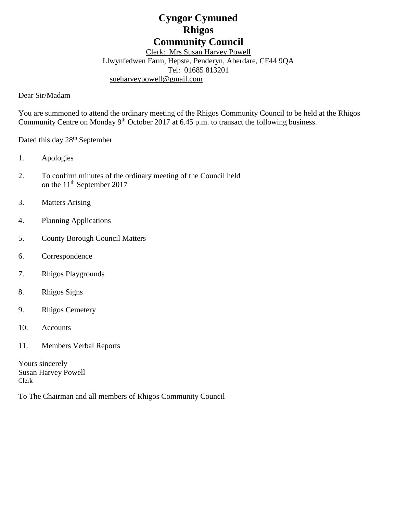# **Cyngor Cymuned Rhigos Community Council**

Clerk: Mrs Susan Harvey Powell Llwynfedwen Farm, Hepste, Penderyn, Aberdare, CF44 9QA Tel: 01685 813201 [sueharveypowell@g](mailto:sharveypowell@comin-infants.co.uk)mail.com

Dear Sir/Madam

You are summoned to attend the ordinary meeting of the Rhigos Community Council to be held at the Rhigos Community Centre on Monday 9<sup>th</sup> October 2017 at 6.45 p.m. to transact the following business.

Dated this day 28<sup>th</sup> September

- 1. Apologies
- 2. To confirm minutes of the ordinary meeting of the Council held on the 11<sup>th</sup> September 2017
- 3. Matters Arising
- 4. Planning Applications
- 5. County Borough Council Matters
- 6. Correspondence
- 7. Rhigos Playgrounds
- 8. Rhigos Signs
- 9. Rhigos Cemetery
- 10. Accounts
- 11. Members Verbal Reports

Yours sincerely Susan Harvey Powell Clerk

To The Chairman and all members of Rhigos Community Council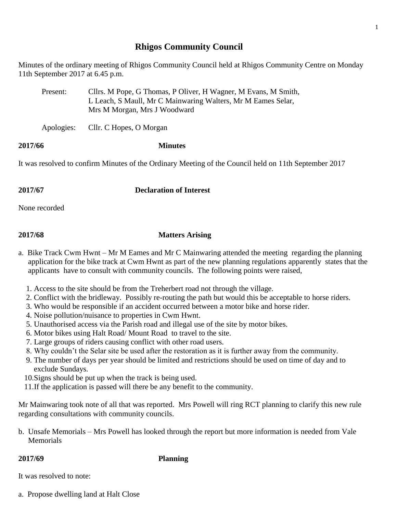## **Rhigos Community Council**

Minutes of the ordinary meeting of Rhigos Community Council held at Rhigos Community Centre on Monday 11th September 2017 at 6.45 p.m.

| Present: | Cllrs. M Pope, G Thomas, P Oliver, H Wagner, M Evans, M Smith, |
|----------|----------------------------------------------------------------|
|          | L Leach, S Maull, Mr C Mainwaring Walters, Mr M Eames Selar,   |
|          | Mrs M Morgan, Mrs J Woodward                                   |

Apologies: Cllr. C Hopes, O Morgan

### **2017/66 Minutes**

It was resolved to confirm Minutes of the Ordinary Meeting of the Council held on 11th September 2017

**2017/67 Declaration of Interest**

None recorded

## **2017/68 Matters Arising**

- a. Bike Track Cwm Hwnt Mr M Eames and Mr C Mainwaring attended the meeting regarding the planning application for the bike track at Cwm Hwnt as part of the new planning regulations apparently states that the applicants have to consult with community councils. The following points were raised,
	- 1. Access to the site should be from the Treherbert road not through the village.
	- 2. Conflict with the bridleway. Possibly re-routing the path but would this be acceptable to horse riders.
	- 3. Who would be responsible if an accident occurred between a motor bike and horse rider.
	- 4. Noise pollution/nuisance to properties in Cwm Hwnt.
	- 5. Unauthorised access via the Parish road and illegal use of the site by motor bikes.
	- 6. Motor bikes using Halt Road/ Mount Road to travel to the site.
	- 7. Large groups of riders causing conflict with other road users.
	- 8. Why couldn't the Selar site be used after the restoration as it is further away from the community.
	- 9. The number of days per year should be limited and restrictions should be used on time of day and to exclude Sundays.
	- 10.Signs should be put up when the track is being used.
	- 11.If the application is passed will there be any benefit to the community.

Mr Mainwaring took note of all that was reported. Mrs Powell will ring RCT planning to clarify this new rule regarding consultations with community councils.

b. Unsafe Memorials – Mrs Powell has looked through the report but more information is needed from Vale Memorials

**2017/69 Planning**

It was resolved to note:

a. Propose dwelling land at Halt Close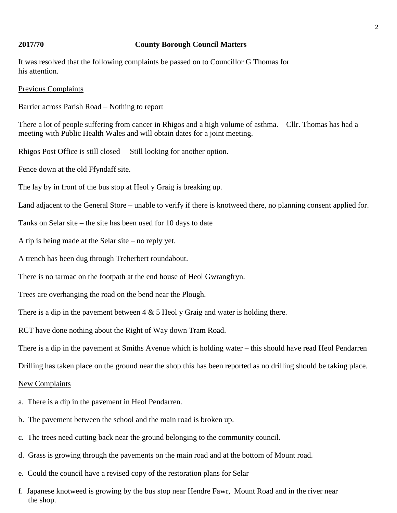### **2017/70 County Borough Council Matters**

It was resolved that the following complaints be passed on to Councillor G Thomas for his attention.

### Previous Complaints

Barrier across Parish Road – Nothing to report

There a lot of people suffering from cancer in Rhigos and a high volume of asthma. – Cllr. Thomas has had a meeting with Public Health Wales and will obtain dates for a joint meeting.

Rhigos Post Office is still closed – Still looking for another option.

Fence down at the old Ffyndaff site.

The lay by in front of the bus stop at Heol y Graig is breaking up.

Land adjacent to the General Store – unable to verify if there is knotweed there, no planning consent applied for.

Tanks on Selar site – the site has been used for 10 days to date

A tip is being made at the Selar site – no reply yet.

A trench has been dug through Treherbert roundabout.

There is no tarmac on the footpath at the end house of Heol Gwrangfryn.

Trees are overhanging the road on the bend near the Plough.

There is a dip in the pavement between  $4 \& 5$  Heol y Graig and water is holding there.

RCT have done nothing about the Right of Way down Tram Road.

There is a dip in the pavement at Smiths Avenue which is holding water – this should have read Heol Pendarren

Drilling has taken place on the ground near the shop this has been reported as no drilling should be taking place.

### New Complaints

- a. There is a dip in the pavement in Heol Pendarren.
- b. The pavement between the school and the main road is broken up.
- c. The trees need cutting back near the ground belonging to the community council.
- d. Grass is growing through the pavements on the main road and at the bottom of Mount road.
- e. Could the council have a revised copy of the restoration plans for Selar
- f. Japanese knotweed is growing by the bus stop near Hendre Fawr, Mount Road and in the river near the shop.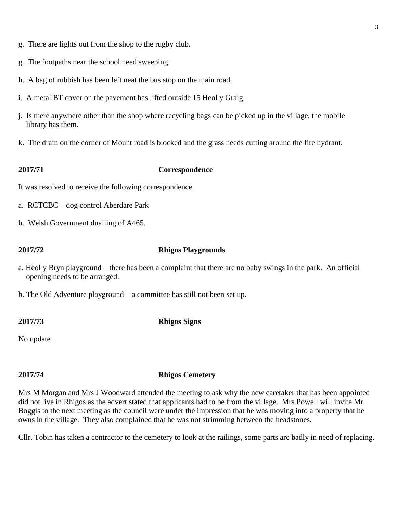- g. There are lights out from the shop to the rugby club.
- g. The footpaths near the school need sweeping.
- h. A bag of rubbish has been left neat the bus stop on the main road.
- i. A metal BT cover on the pavement has lifted outside 15 Heol y Graig.
- j. Is there anywhere other than the shop where recycling bags can be picked up in the village, the mobile library has them.
- k. The drain on the corner of Mount road is blocked and the grass needs cutting around the fire hydrant.

### **2017/71 Correspondence**

It was resolved to receive the following correspondence.

- a. RCTCBC dog control Aberdare Park
- b. Welsh Government dualling of A465.

### **2017/72 Rhigos Playgrounds**

- a. Heol y Bryn playground there has been a complaint that there are no baby swings in the park. An official opening needs to be arranged.
- b. The Old Adventure playground a committee has still not been set up.

**2017/73 Rhigos Signs**

No update

### **2017/74 Rhigos Cemetery**

Mrs M Morgan and Mrs J Woodward attended the meeting to ask why the new caretaker that has been appointed did not live in Rhigos as the advert stated that applicants had to be from the village. Mrs Powell will invite Mr Boggis to the next meeting as the council were under the impression that he was moving into a property that he owns in the village. They also complained that he was not strimming between the headstones.

Cllr. Tobin has taken a contractor to the cemetery to look at the railings, some parts are badly in need of replacing.